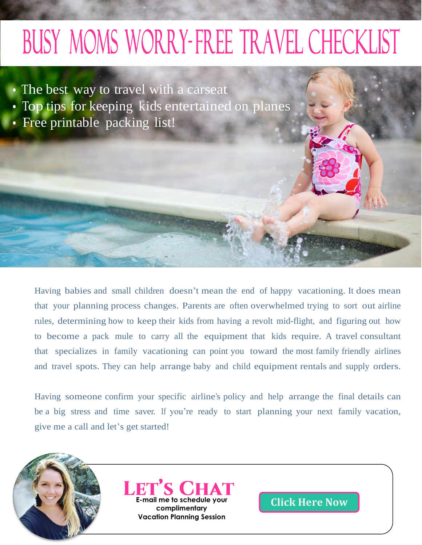# BUSY MOMS WORRY-FREE TRAVEL CHECKLIST

- The best way to travel with a carseat
- Top tips for keeping kids entertained on planes
- Free printable packing list!

i.

 $\geq$ 

Having babies and small children doesn't mean the end of happy vacationing. It does mean that your planning process changes. Parents are often overwhelmed trying to sort out airline rules, determining how to keep their kids from having a revolt mid-flight, and figuring out how to become a pack mule to carry all the equipment that kids require. A travel consultant that specializes in family vacationing can point you toward the most family friendly airlines and travel spots. They can help arrange baby and child equipment rentals and supply orders.

Having someone confirm your specific airline's policy and help arrange the final details can be a big stress and time saver. If you're ready to start planning your next family vacation, give me a call and let's get started!



**Example 1 me to schedule your**<br> **[Click Here Now](mailto:nickie@romanticstravel.com) Click Here** Now **Vacation Planning Session**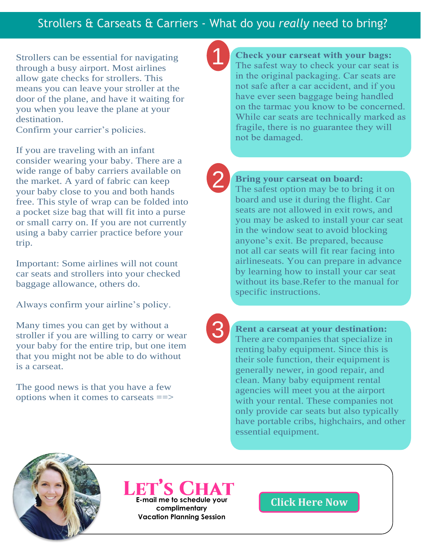## Strollers & Carseats & Carriers - What do you *really* need to bring?

1

Strollers can be essential for navigating through a busy airport. Most airlines allow gate checks for strollers. This means you can leave your stroller at the door of the plane, and have it waiting for you when you leave the plane at your destination.

Confirm your carrier's policies.

If you are traveling with an infant consider wearing your baby. There are a wide range of baby carriers available on the market. A yard of fabric can keep your baby close to you and both hands free. This style of wrap can be folded into a pocket size bag that will fit into a purse or small carry on. If you are not currently using a baby carrier practice before your trip.

Important: Some airlines will not count car seats and strollers into your checked baggage allowance, others do.

Always confirm your airline's policy.

Many times you can get by without a stroller if you are willing to carry or wear your baby for the entire trip, but one item that you might not be able to do without is a carseat.

The good news is that you have a few options when it comes to carseats ==>

**Check your carseat with your bags:** The safest way to check your car seat is in the original packaging. Car seats are not safe after a car accident, and if you have ever seen baggage being handled on the tarmac you know to be concerned. While car seats are technically marked as fragile, there is no guarantee they will not be damaged.

2

### **Bring your carseat on board:**

The safest option may be to bring it on board and use it during the flight. Car seats are not allowed in exit rows, and you may be asked to install your car seat in the window seat to avoid blocking anyone's exit. Be prepared, because not all car seats will fit rear facing into airlineseats. You can prepare in advance by learning how to install your car seat without its base.Refer to the manual for specific instructions.

3

**Rent a carseat at your destination:**  There are companies that specialize in renting baby equipment. Since this is their sole function, their equipment is generally newer, in good repair, and clean. Many baby equipment rental agencies will meet you at the airport with your rental. These companies not only provide car seats but also typically have portable cribs, highchairs, and other essential equipment.



**E-mail me to schedule your [Click Here Now](mailto:nickie@romanticstravel.com) complimentary**

**Vacation Planning Session**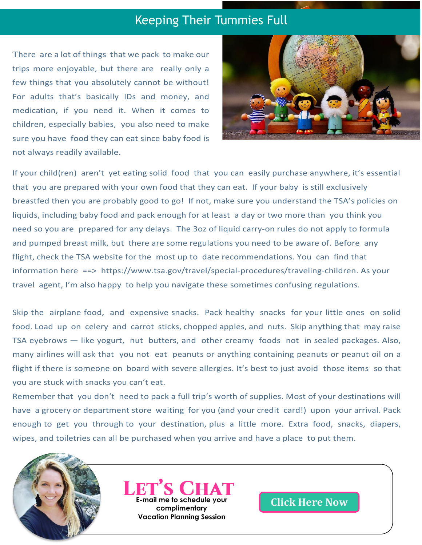## Keeping Their Tummies Full

There are a lot of things that we pack to make our trips more enjoyable, but there are really only a few things that you absolutely cannot be without! For adults that's basically IDs and money, and medication, if you need it. When it comes to children, especially babies, you also need to make sure you have food they can eat since baby food is not always readily available.



If your child(ren) aren't yet eating solid food that you can easily purchase anywhere, it's essential that you are prepared with your own food that they can eat. If your baby is still exclusively breastfed then you are probably good to go! If not, make sure you understand the TSA's policies on liquids, including baby food and pack enough for at least a day or two more than you think you need so you are prepared for any delays. The 3oz of liquid carry-on rules do not apply to formula and pumped breast milk, but there are some regulations you need to be aware of. Before any flight, check the TSA website for the most up to date recommendations. You can find that information here ==> h[ttps://www.tsa.gov/travel/special-procedures/traveling-children.](http://www.tsa.gov/travel/special-procedures/traveling-children) As your travel agent, I'm also happy to help you navigate these sometimes confusing regulations.

Skip the airplane food, and expensive snacks. Pack healthy snacks for your little ones on solid food. Load up on celery and carrot sticks, chopped apples, and nuts. Skip anything that may raise TSA eyebrows — like yogurt, nut butters, and other creamy foods not in sealed packages. Also, many airlines will ask that you not eat peanuts or anything containing peanuts or peanut oil on a flight if there is someone on board with severe allergies. It's best to just avoid those items so that you are stuck with snacks you can't eat.

Remember that you don't need to pack a full trip's worth of supplies. Most of your destinations will have a grocery or department store waiting for you (and your credit card!) upon your arrival. Pack enough to get you through to your destination, plus a little more. Extra food, snacks, diapers, wipes, and toiletries can all be purchased when you arrive and have a place to put them.



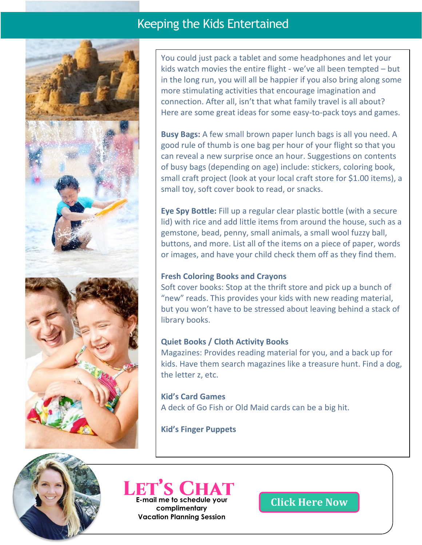## Keeping the Kids Entertained



You could just pack a tablet and some headphones and let your kids watch movies the entire flight - we've all been tempted – but in the long run, you will all be happier if you also bring along some more stimulating activities that encourage imagination and connection. After all, isn't that what family travel is all about? Here are some great ideas for some easy-to-pack toys and games.

**Busy Bags:** A few small brown paper lunch bags is all you need. A good rule of thumb is one bag per hour of your flight so that you can reveal a new surprise once an hour. Suggestions on contents of busy bags (depending on age) include: stickers, coloring book, small craft project (look at your local craft store for \$1.00 items), a small toy, soft cover book to read, or snacks.

**Eye Spy Bottle:** Fill up a regular clear plastic bottle (with a secure lid) with rice and add little items from around the house, such as a gemstone, bead, penny, small animals, a small wool fuzzy ball, buttons, and more. List all of the items on a piece of paper, words or images, and have your child check them off as they find them.

## **Fresh Coloring Books and Crayons**

Soft cover books: Stop at the thrift store and pick up a bunch of "new" reads. This provides your kids with new reading material, but you won't have to be stressed about leaving behind a stack of library books.

## **Quiet Books / Cloth Activity Books**

Magazines: Provides reading material for you, and a back up for kids. Have them search magazines like a treasure hunt. Find a dog, the letter z, etc.

**Kid's Card Games** A deck of Go Fish or Old Maid cards can be a big hit.

**Kid's Finger Puppets**



## **Example of Schedule your [Click Here Now](mailto:nickie@romanticstravel.com) complimentary Vacation Planning Session**